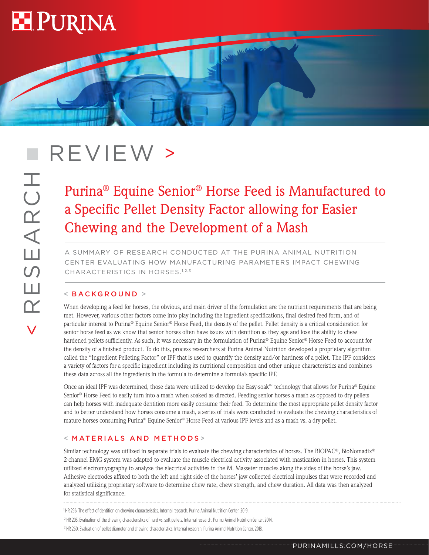

# REVIEW >

## Purina® Equine Senior® Horse Feed is Manufactured to a Specific Pellet Density Factor allowing for Easier Chewing and the Development of a Mash

**MARCHES** 

A SUMMARY OF RESEARCH CONDUCTED AT THE PURINA ANIMAL NUTRITION CENTER EVALUATING HOW MANUFACTURING PARAMETERS IMPACT CHEWING CHARACTERISTICS IN HORSES.1,2,3

### < BACKGROUND >

When developing a feed for horses, the obvious, and main driver of the formulation are the nutrient requirements that are being met. However, various other factors come into play including the ingredient specifications, final desired feed form, and of particular interest to Purina® Equine Senior® Horse Feed, the density of the pellet. Pellet density is a critical consideration for senior horse feed as we know that senior horses often have issues with dentition as they age and lose the ability to chew hardened pellets sufficiently. As such, it was necessary in the formulation of Purina® Equine Senior® Horse Feed to account for the density of a finished product. To do this, process researchers at Purina Animal Nutrition developed a proprietary algorithm called the "Ingredient Pelleting Factor" or IPF that is used to quantify the density and/or hardness of a pellet. The IPF considers a variety of factors for a specific ingredient including its nutritional composition and other unique characteristics and combines these data across all the ingredients in the formula to determine a formula's specific IPF.

Once an ideal IPF was determined, those data were utilized to develop the Easy-soak™ technology that allows for Purina® Equine Senior® Horse Feed to easily turn into a mash when soaked as directed. Feeding senior horses a mash as opposed to dry pellets can help horses with inadequate dentition more easily consume their feed. To determine the most appropriate pellet density factor and to better understand how horses consume a mash, a series of trials were conducted to evaluate the chewing characteristics of mature horses consuming Purina® Equine Senior® Horse Feed at various IPF levels and as a mash vs. a dry pellet.

#### < MATERIALS AND METHODS >

Similar technology was utilized in separate trials to evaluate the chewing characteristics of horses. The BIOPAC®, BioNomadix® 2-channel EMG system was adapted to evaluate the muscle electrical activity associated with mastication in horses. This system utilized electromyography to analyze the electrical activities in the M. Masseter muscles along the sides of the horse's jaw. Adhesive electrodes affixed to both the left and right side of the horses' jaw collected electrical impulses that were recorded and analyzed utilizing proprietary software to determine chew rate, chew strength, and chew duration. All data was then analyzed for statistical significance.

1 HR 296. The effect of dentition on chewing characteristics. Internal research. Purina Animal Nutrition Center. 2019.

2 HR 203. Evaluation of the chewing characteristics of hard vs. soft pellets. Internal research. Purina Animal Nutrition Center. 2014.

<sup>&</sup>lt;sup>3</sup> HR 260. Evaluation of pellet diameter and chewing characteristics. Internal research. Purina Animal Nutrition Center. 2018.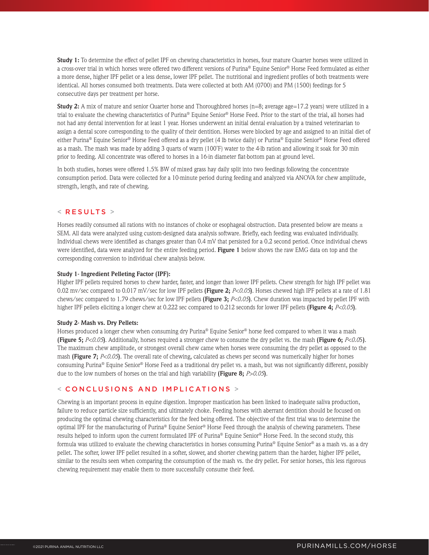**Study 1:** To determine the effect of pellet IPF on chewing characteristics in horses, four mature Quarter horses were utilized in a cross-over trial in which horses were offered two different versions of Purina® Equine Senior® Horse Feed formulated as either a more dense, higher IPF pellet or a less dense, lower IPF pellet. The nutritional and ingredient profiles of both treatments were identical. All horses consumed both treatments. Data were collected at both AM (0700) and PM (1500) feedings for 5 consecutive days per treatment per horse.

**Study 2:** A mix of mature and senior Quarter horse and Thoroughbred horses (n=8; average age=17.2 years) were utilized in a trial to evaluate the chewing characteristics of Purina® Equine Senior® Horse Feed. Prior to the start of the trial, all horses had not had any dental intervention for at least 1 year. Horses underwent an initial dental evaluation by a trained veterinarian to assign a dental score corresponding to the quality of their dentition. Horses were blocked by age and assigned to an initial diet of either Purina® Equine Senior® Horse Feed offered as a dry pellet (4 lb twice daily) or Purina® Equine Senior® Horse Feed offered as a mash. The mash was made by adding 3 quarts of warm (100˚F) water to the 4-lb ration and allowing it soak for 30 min prior to feeding. All concentrate was offered to horses in a 16-in diameter flat-bottom pan at ground level.

In both studies, horses were offered 1.5% BW of mixed grass hay daily split into two feedings following the concentrate consumption period. Data were collected for a 10-minute period during feeding and analyzed via ANOVA for chew amplitude, strength, length, and rate of chewing.

#### $<$  RESULTS  $>$

Horses readily consumed all rations with no instances of choke or esophageal obstruction. Data presented below are means  $\pm$ SEM. All data were analyzed using custom-designed data analysis software. Briefly, each feeding was evaluated individually. Individual chews were identified as changes greater than 0.4 mV that persisted for a 0.2 second period. Once individual chews were identified, data were analyzed for the entire feeding period. **Figure 1** below shows the raw EMG data on top and the corresponding conversion to individual chew analysis below.

#### **Study 1- Ingredient Pelleting Factor (IPF):**

Higher IPF pellets required horses to chew harder, faster, and longer than lower IPF pellets. Chew strength for high IPF pellet was 0.02 mv/sec compared to 0.017 mV/sec for low IPF pellets **(Figure 2;** *P<0.05***)**. Horses chewed high IPF pellets at a rate of 1.81 chews/sec compared to 1.79 chews/sec for low IPF pellets **(Figure 3;** *P<0.05***)**. Chew duration was impacted by pellet IPF with higher IPF pellets eliciting a longer chew at 0.222 sec compared to 0.212 seconds for lower IPF pellets **(Figure 4;** *P<0.05***)**.

#### **Study 2- Mash vs. Dry Pellets:**

Horses produced a longer chew when consuming dry Purina® Equine Senior® horse feed compared to when it was a mash **(Figure 5;** *P<0.05***)**. Additionally, horses required a stronger chew to consume the dry pellet vs. the mash **(Figure 6;** *P<0.0*5**)**. The maximum chew amplitude, or strongest overall chew came when horses were consuming the dry pellet as opposed to the mash **(Figure 7;** *P<0.05***)**. The overall rate of chewing, calculated as chews per second was numerically higher for horses consuming Purina® Equine Senior® Horse Feed as a traditional dry pellet vs. a mash, but was not significantly different, possibly due to the low numbers of horses on the trial and high variability **(Figure 8;** *P>0.05***)**.

#### < CONCLUSIONS AND IMPLICATIONS >

Chewing is an important process in equine digestion. Improper mastication has been linked to inadequate saliva production, failure to reduce particle size sufficiently, and ultimately choke. Feeding horses with aberrant dentition should be focused on producing the optimal chewing characteristics for the feed being offered. The objective of the first trial was to determine the optimal IPF for the manufacturing of Purina® Equine Senior® Horse Feed through the analysis of chewing parameters. These results helped to inform upon the current formulated IPF of Purina® Equine Senior® Horse Feed. In the second study, this formula was utilized to evaluate the chewing characteristics in horses consuming Purina® Equine Senior® as a mash vs. as a dry pellet. The softer, lower IPF pellet resulted in a softer, slower, and shorter chewing pattern than the harder, higher IPF pellet, similar to the results seen when comparing the consumption of the mash vs. the dry pellet. For senior horses, this less rigorous chewing requirement may enable them to more successfully consume their feed.